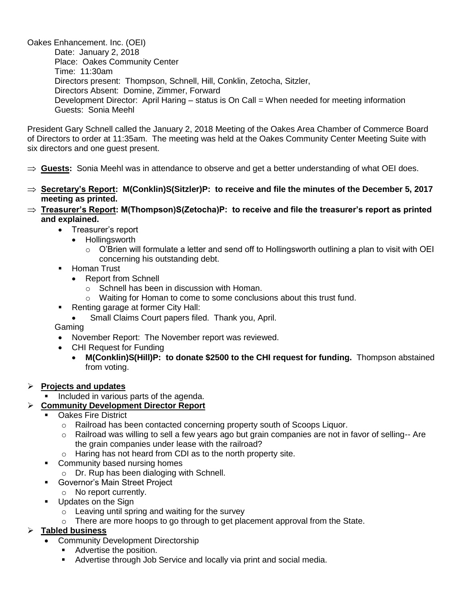Oakes Enhancement. Inc. (OEI) Date: January 2, 2018 Place: Oakes Community Center Time: 11:30am Directors present: Thompson, Schnell, Hill, Conklin, Zetocha, Sitzler, Directors Absent: Domine, Zimmer, Forward Development Director: April Haring – status is On Call = When needed for meeting information Guests: Sonia Meehl

President Gary Schnell called the January 2, 2018 Meeting of the Oakes Area Chamber of Commerce Board of Directors to order at 11:35am. The meeting was held at the Oakes Community Center Meeting Suite with six directors and one guest present.

- **Guests:** Sonia Meehl was in attendance to observe and get a better understanding of what OEI does.
- **Secretary's Report: M(Conklin)S(Sitzler)P: to receive and file the minutes of the December 5, 2017 meeting as printed.**
- **Treasurer's Report: M(Thompson)S(Zetocha)P: to receive and file the treasurer's report as printed and explained.** 
	- Treasurer's report
		- Hollingsworth
			- $\circ$  O'Brien will formulate a letter and send off to Hollingsworth outlining a plan to visit with OEI concerning his outstanding debt.
	- **-** Homan Trust
		- Report from Schnell
			- o Schnell has been in discussion with Homan.
			- $\circ$  Waiting for Homan to come to some conclusions about this trust fund.
	- Renting garage at former City Hall:
		- Small Claims Court papers filed. Thank you, April.

#### Gaming

- November Report: The November report was reviewed.
- CHI Request for Funding
	- **M(Conklin)S(Hill)P: to donate \$2500 to the CHI request for funding.** Thompson abstained from voting.

#### **Projects and updates**

Included in various parts of the agenda.

# **Community Development Director Report**

- Oakes Fire District
	- o Railroad has been contacted concerning property south of Scoops Liquor.
	- $\circ$  Railroad was willing to sell a few years ago but grain companies are not in favor of selling-- Are the grain companies under lease with the railroad?
	- o Haring has not heard from CDI as to the north property site.
- **Community based nursing homes** 
	- o Dr. Rup has been dialoging with Schnell.
- Governor's Main Street Project
	- o No report currently.
- **Updates on the Sign** 
	- o Leaving until spring and waiting for the survey
	- $\circ$  There are more hoops to go through to get placement approval from the State.

# **Tabled business**

- Community Development Directorship
	- **Advertise the position.**
	- Advertise through Job Service and locally via print and social media.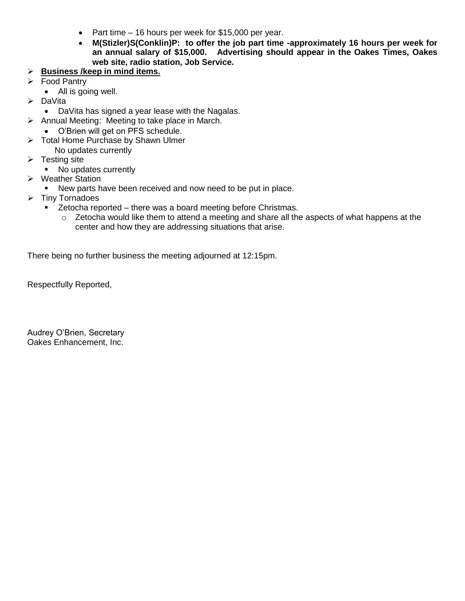- Part time 16 hours per week for \$15,000 per year.
- **M(Stizler)S(Conklin)P: to offer the job part time -approximately 16 hours per week for an annual salary of \$15,000. Advertising should appear in the Oakes Times, Oakes web site, radio station, Job Service.**

# **Business /keep in mind items.**

- Food Pantry
	- All is going well.
- > DaVita
- DaVita has signed a year lease with the Nagalas.
- $\triangleright$  Annual Meeting: Meeting to take place in March.
	- O'Brien will get on PFS schedule.
- $\triangleright$  Total Home Purchase by Shawn Ulmer
	- No updates currently
- $\triangleright$  Testing site
	- No updates currently
- **▶ Weather Station** 
	- New parts have been received and now need to be put in place.
- $\triangleright$  Tiny Tornadoes
	- **EXECT** Zetocha reported there was a board meeting before Christmas.
		- $\circ$  Zetocha would like them to attend a meeting and share all the aspects of what happens at the center and how they are addressing situations that arise.

There being no further business the meeting adjourned at 12:15pm.

Respectfully Reported,

Audrey O'Brien, Secretary Oakes Enhancement, Inc.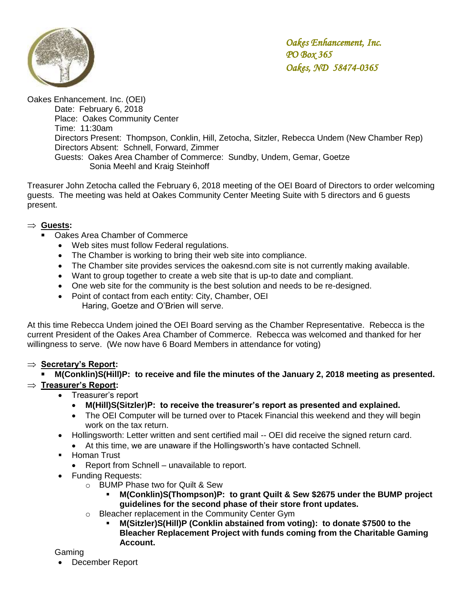

Oakes Enhancement. Inc. (OEI) Date: February 6, 2018 Place: Oakes Community Center Time: 11:30am Directors Present: Thompson, Conklin, Hill, Zetocha, Sitzler, Rebecca Undem (New Chamber Rep) Directors Absent: Schnell, Forward, Zimmer Guests: Oakes Area Chamber of Commerce: Sundby, Undem, Gemar, Goetze Sonia Meehl and Kraig Steinhoff

Treasurer John Zetocha called the February 6, 2018 meeting of the OEI Board of Directors to order welcoming guests. The meeting was held at Oakes Community Center Meeting Suite with 5 directors and 6 guests present.

# **Guests:**

- Oakes Area Chamber of Commerce
	- Web sites must follow Federal regulations.
	- The Chamber is working to bring their web site into compliance.
	- The Chamber site provides services the oakesnd.com site is not currently making available.
	- Want to group together to create a web site that is up-to date and compliant.
	- One web site for the community is the best solution and needs to be re-designed.
	- Point of contact from each entity: City, Chamber, OEI Haring, Goetze and O'Brien will serve.

At this time Rebecca Undem joined the OEI Board serving as the Chamber Representative. Rebecca is the current President of the Oakes Area Chamber of Commerce. Rebecca was welcomed and thanked for her willingness to serve. (We now have 6 Board Members in attendance for voting)

# **Secretary's Report:**

 **M(Conklin)S(Hill)P: to receive and file the minutes of the January 2, 2018 meeting as presented. Treasurer's Report:** 

- Treasurer's report
	- **M(Hill)S(Sitzler)P: to receive the treasurer's report as presented and explained.**
	- The OEI Computer will be turned over to Ptacek Financial this weekend and they will begin work on the tax return.
- Hollingsworth: Letter written and sent certified mail -- OEI did receive the signed return card.
	- At this time, we are unaware if the Hollingsworth's have contacted Schnell.
- **-** Homan Trust
	- Report from Schnell unavailable to report.
- Funding Requests:
	- o BUMP Phase two for Quilt & Sew
		- **M(Conklin)S(Thompson)P: to grant Quilt & Sew \$2675 under the BUMP project guidelines for the second phase of their store front updates.**
	- o Bleacher replacement in the Community Center Gym
		- **M(Sitzler)S(Hill)P (Conklin abstained from voting): to donate \$7500 to the Bleacher Replacement Project with funds coming from the Charitable Gaming Account.**

#### Gaming

December Report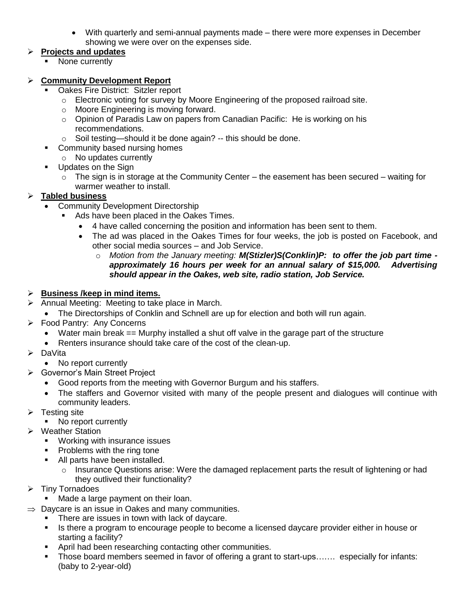With quarterly and semi-annual payments made – there were more expenses in December showing we were over on the expenses side.

# **Projects and updates**

None currently

# **Community Development Report**

- Oakes Fire District: Sitzler report
	- o Electronic voting for survey by Moore Engineering of the proposed railroad site.
	- o Moore Engineering is moving forward.
	- o Opinion of Paradis Law on papers from Canadian Pacific: He is working on his recommendations.
	- o Soil testing—should it be done again? -- this should be done.
- **Community based nursing homes**
- o No updates currently
- **Updates on the Sign** 
	- $\circ$  The sign is in storage at the Community Center the easement has been secured waiting for warmer weather to install.

# **Tabled business**

- Community Development Directorship
	- Ads have been placed in the Oakes Times.
		- 4 have called concerning the position and information has been sent to them.
		- The ad was placed in the Oakes Times for four weeks, the job is posted on Facebook, and other social media sources – and Job Service.
			- o *Motion from the January meeting: M(Stizler)S(Conklin)P: to offer the job part time approximately 16 hours per week for an annual salary of \$15,000. Advertising should appear in the Oakes, web site, radio station, Job Service.*

# **Business /keep in mind items.**

- $\triangleright$  Annual Meeting: Meeting to take place in March.
	- The Directorships of Conklin and Schnell are up for election and both will run again.
- Food Pantry: Any Concerns
	- Water main break == Murphy installed a shut off valve in the garage part of the structure
	- Renters insurance should take care of the cost of the clean-up.
- DaVita
- No report currently
- **►** Governor's Main Street Project
	- Good reports from the meeting with Governor Burgum and his staffers.
	- The staffers and Governor visited with many of the people present and dialogues will continue with community leaders.
- $\triangleright$  Testing site
	- No report currently
- **▶ Weather Station** 
	- **Working with insurance issues**
	- **•** Problems with the ring tone
	- All parts have been installed.
		- o Insurance Questions arise: Were the damaged replacement parts the result of lightening or had they outlived their functionality?
- $\triangleright$  Tiny Tornadoes
	- Made a large payment on their loan.
- $\Rightarrow$  Daycare is an issue in Oakes and many communities.
	- **There are issues in town with lack of daycare.**
	- Is there a program to encourage people to become a licensed daycare provider either in house or starting a facility?
	- **April had been researching contacting other communities.**
	- Those board members seemed in favor of offering a grant to start-ups……. especially for infants: (baby to 2-year-old)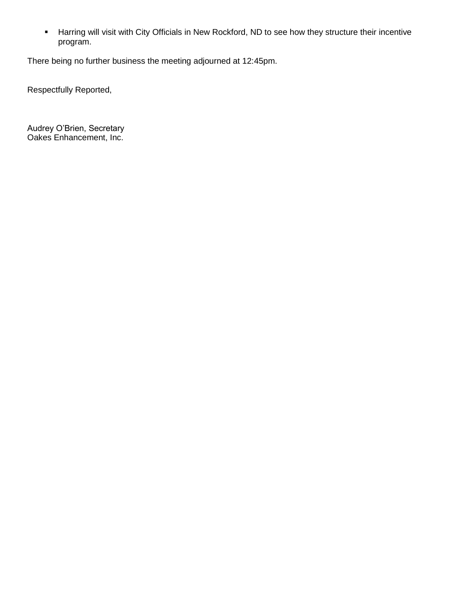Harring will visit with City Officials in New Rockford, ND to see how they structure their incentive program.

There being no further business the meeting adjourned at 12:45pm.

Respectfully Reported,

Audrey O'Brien, Secretary Oakes Enhancement, Inc.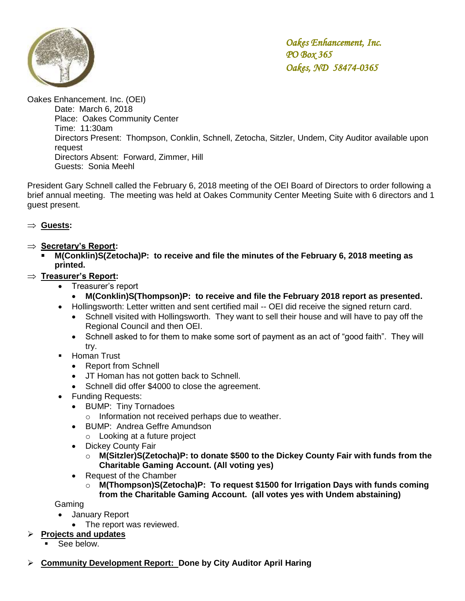

Oakes Enhancement. Inc. (OEI)

Date: March 6, 2018 Place: Oakes Community Center Time: 11:30am Directors Present: Thompson, Conklin, Schnell, Zetocha, Sitzler, Undem, City Auditor available upon request Directors Absent: Forward, Zimmer, Hill Guests: Sonia Meehl

President Gary Schnell called the February 6, 2018 meeting of the OEI Board of Directors to order following a brief annual meeting. The meeting was held at Oakes Community Center Meeting Suite with 6 directors and 1 guest present.

#### **Guests:**

- ⇒ Secretary's Report:
	- **M(Conklin)S(Zetocha)P: to receive and file the minutes of the February 6, 2018 meeting as printed.**

# **Treasurer's Report:**

- Treasurer's report
	- **M(Conklin)S(Thompson)P: to receive and file the February 2018 report as presented.**
- Hollingsworth: Letter written and sent certified mail -- OEI did receive the signed return card.
	- Schnell visited with Hollingsworth. They want to sell their house and will have to pay off the Regional Council and then OEI.
	- Schnell asked to for them to make some sort of payment as an act of "good faith". They will try.
- **Homan Trust** 
	- Report from Schnell
	- JT Homan has not gotten back to Schnell.
	- Schnell did offer \$4000 to close the agreement.
- Funding Requests:
	- BUMP: Tiny Tornadoes
		- o Information not received perhaps due to weather.
	- BUMP: Andrea Geffre Amundson
		- o Looking at a future project
	- Dickey County Fair
		- o **M(Sitzler)S(Zetocha)P: to donate \$500 to the Dickey County Fair with funds from the Charitable Gaming Account. (All voting yes)**
	- Request of the Chamber
		- o **M(Thompson)S(Zetocha)P: To request \$1500 for Irrigation Days with funds coming from the Charitable Gaming Account. (all votes yes with Undem abstaining)**

Gaming

- January Report
	- The report was reviewed.

#### **Projects and updates**

- See below.
- **Community Development Report: Done by City Auditor April Haring**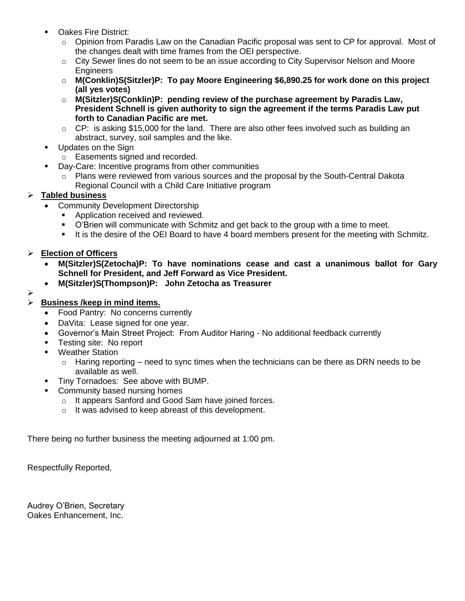- Oakes Fire District:
	- $\circ$  Opinion from Paradis Law on the Canadian Pacific proposal was sent to CP for approval. Most of the changes dealt with time frames from the OEI perspective.
	- $\circ$  City Sewer lines do not seem to be an issue according to City Supervisor Nelson and Moore **Engineers**
	- o **M(Conklin)S(Sitzler)P: To pay Moore Engineering \$6,890.25 for work done on this project (all yes votes)**
	- o **M(Sitzler)S(Conklin)P: pending review of the purchase agreement by Paradis Law, President Schnell is given authority to sign the agreement if the terms Paradis Law put forth to Canadian Pacific are met.**
	- o CP: is asking \$15,000 for the land. There are also other fees involved such as building an abstract, survey, soil samples and the like.
- **Updates on the Sign** 
	- o Easements signed and recorded.
- Day-Care: Incentive programs from other communities
	- $\circ$  Plans were reviewed from various sources and the proposal by the South-Central Dakota Regional Council with a Child Care Initiative program

#### **Tabled business**

- Community Development Directorship
	- Application received and reviewed.
	- O'Brien will communicate with Schmitz and get back to the group with a time to meet.
	- It is the desire of the OEI Board to have 4 board members present for the meeting with Schmitz.

#### **Election of Officers**

- **M(Sitzler)S(Zetocha)P: To have nominations cease and cast a unanimous ballot for Gary Schnell for President, and Jeff Forward as Vice President.**
- **M(Sitzler)S(Thompson)P: John Zetocha as Treasurer**
- ⋗

# **Business /keep in mind items.**

- Food Pantry: No concerns currently
- DaVita: Lease signed for one year.
- Governor's Main Street Project: From Auditor Haring No additional feedback currently
- **Testing site: No report**
- **Weather Station** 
	- $\circ$  Haring reporting need to sync times when the technicians can be there as DRN needs to be available as well.
- **Tiny Tornadoes: See above with BUMP.**
- **Community based nursing homes** 
	- o It appears Sanford and Good Sam have joined forces.
	- o It was advised to keep abreast of this development.

There being no further business the meeting adjourned at 1:00 pm.

Respectfully Reported,

Audrey O'Brien, Secretary Oakes Enhancement, Inc.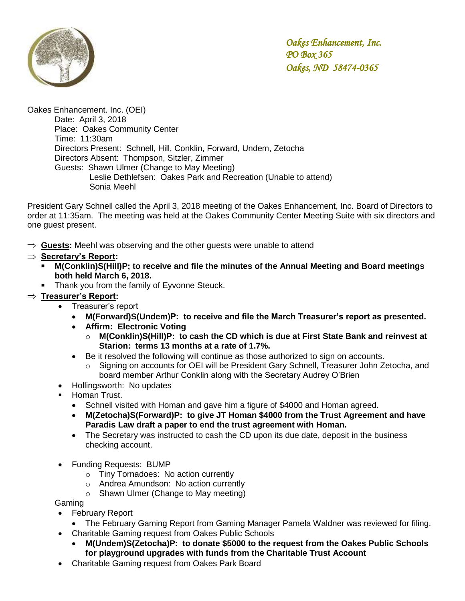

Oakes Enhancement. Inc. (OEI) Date: April 3, 2018 Place: Oakes Community Center Time: 11:30am Directors Present: Schnell, Hill, Conklin, Forward, Undem, Zetocha Directors Absent: Thompson, Sitzler, Zimmer Guests: Shawn Ulmer (Change to May Meeting) Leslie Dethlefsen: Oakes Park and Recreation (Unable to attend) Sonia Meehl

President Gary Schnell called the April 3, 2018 meeting of the Oakes Enhancement, Inc. Board of Directors to order at 11:35am. The meeting was held at the Oakes Community Center Meeting Suite with six directors and one guest present.

- $\Rightarrow$  Guests: Meehl was observing and the other guests were unable to attend
- **Secretary's Report:**
	- **M(Conklin)S(Hill)P; to receive and file the minutes of the Annual Meeting and Board meetings both held March 6, 2018.**
		- Thank you from the family of Eyvonne Steuck.

### **Treasurer's Report:**

- Treasurer's report
	- **M(Forward)S(Undem)P: to receive and file the March Treasurer's report as presented.**
	- **Affirm: Electronic Voting**
		- o **M(Conklin)S(Hill)P: to cash the CD which is due at First State Bank and reinvest at Starion: terms 13 months at a rate of 1.7%.**
	- Be it resolved the following will continue as those authorized to sign on accounts.
		- o Signing on accounts for OEI will be President Gary Schnell, Treasurer John Zetocha, and board member Arthur Conklin along with the Secretary Audrey O'Brien
- Hollingsworth: No updates
- **Homan Trust.** 
	- Schnell visited with Homan and gave him a figure of \$4000 and Homan agreed.
	- **M(Zetocha)S(Forward)P: to give JT Homan \$4000 from the Trust Agreement and have Paradis Law draft a paper to end the trust agreement with Homan.**
	- The Secretary was instructed to cash the CD upon its due date, deposit in the business checking account.
- Funding Requests: BUMP
	- o Tiny Tornadoes: No action currently
	- o Andrea Amundson: No action currently
	- o Shawn Ulmer (Change to May meeting)

Gaming

- February Report
	- The February Gaming Report from Gaming Manager Pamela Waldner was reviewed for filing.
- Charitable Gaming request from Oakes Public Schools
	- **M(Undem)S(Zetocha)P: to donate \$5000 to the request from the Oakes Public Schools for playground upgrades with funds from the Charitable Trust Account**
- Charitable Gaming request from Oakes Park Board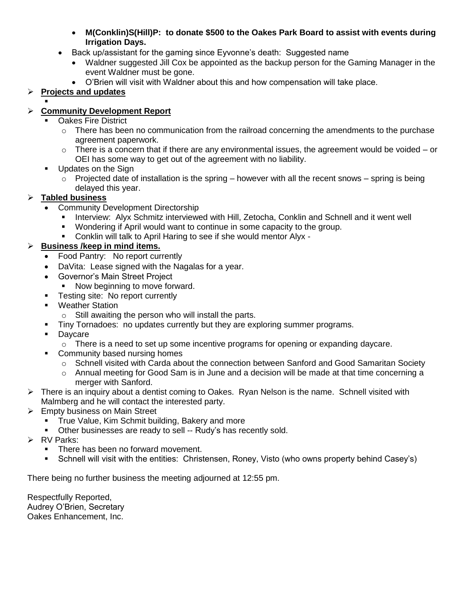- **M(Conklin)S(Hill)P: to donate \$500 to the Oakes Park Board to assist with events during Irrigation Days.**
- Back up/assistant for the gaming since Eyvonne's death: Suggested name
	- Waldner suggested Jill Cox be appointed as the backup person for the Gaming Manager in the event Waldner must be gone.
	- O'Brien will visit with Waldner about this and how compensation will take place.

# **Projects and updates**

#### . **Community Development Report**

- Oakes Fire District
	- $\circ$  There has been no communication from the railroad concerning the amendments to the purchase agreement paperwork.
	- $\circ$  There is a concern that if there are any environmental issues, the agreement would be voided or OEI has some way to get out of the agreement with no liability.
- **Updates on the Sign** 
	- o Projected date of installation is the spring however with all the recent snows spring is being delayed this year.

# **Tabled business**

- Community Development Directorship
	- Interview: Alyx Schmitz interviewed with Hill, Zetocha, Conklin and Schnell and it went well
	- Wondering if April would want to continue in some capacity to the group.
	- Conklin will talk to April Haring to see if she would mentor Alyx -

# **Business /keep in mind items.**

- Food Pantry: No report currently
- DaVita: Lease signed with the Nagalas for a year.
- Governor's Main Street Project
	- Now beginning to move forward.
- **Testing site: No report currently**
- **Weather Station** 
	- o Still awaiting the person who will install the parts.
- **Tiny Tornadoes: no updates currently but they are exploring summer programs.**
- **Daycare** 
	- $\circ$  There is a need to set up some incentive programs for opening or expanding daycare.
- Community based nursing homes
	- o Schnell visited with Carda about the connection between Sanford and Good Samaritan Society
	- $\circ$  Annual meeting for Good Sam is in June and a decision will be made at that time concerning a merger with Sanford.
- $\triangleright$  There is an inquiry about a dentist coming to Oakes. Ryan Nelson is the name. Schnell visited with Malmberg and he will contact the interested party.
- Empty business on Main Street
	- **True Value, Kim Schmit building, Bakery and more**
	- Other businesses are ready to sell -- Rudy's has recently sold.
- **RV Parks:** 
	- There has been no forward movement.
	- Schnell will visit with the entities: Christensen, Roney, Visto (who owns property behind Casey's)

There being no further business the meeting adjourned at 12:55 pm.

Respectfully Reported, Audrey O'Brien, Secretary Oakes Enhancement, Inc.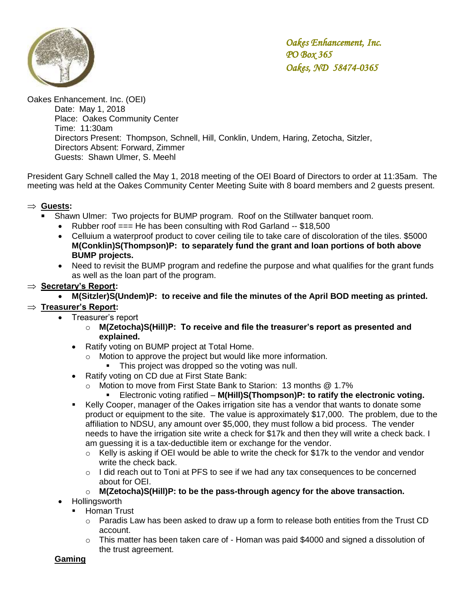

Oakes Enhancement. Inc. (OEI) Date: May 1, 2018 Place: Oakes Community Center Time: 11:30am Directors Present: Thompson, Schnell, Hill, Conklin, Undem, Haring, Zetocha, Sitzler, Directors Absent: Forward, Zimmer Guests: Shawn Ulmer, S. Meehl

President Gary Schnell called the May 1, 2018 meeting of the OEI Board of Directors to order at 11:35am. The meeting was held at the Oakes Community Center Meeting Suite with 8 board members and 2 guests present.

# **Guests:**

- Shawn Ulmer: Two projects for BUMP program. Roof on the Stillwater banquet room.
	- Rubber roof  $==$  He has been consulting with Rod Garland  $-$  \$18,500
	- Celluium a waterproof product to cover ceiling tile to take care of discoloration of the tiles. \$5000 **M(Conklin)S(Thompson)P: to separately fund the grant and loan portions of both above BUMP projects.**
	- Need to revisit the BUMP program and redefine the purpose and what qualifies for the grant funds as well as the loan part of the program.
- **Secretary's Report:**
	- **M(Sitzler)S(Undem)P: to receive and file the minutes of the April BOD meeting as printed.**

# **Treasurer's Report:**

- Treasurer's report
	- o **M(Zetocha)S(Hill)P: To receive and file the treasurer's report as presented and explained.**
	- Ratify voting on BUMP project at Total Home.
		- Motion to approve the project but would like more information.
			- This project was dropped so the voting was null.
	- Ratify voting on CD due at First State Bank:
		- o Motion to move from First State Bank to Starion: 13 months @ 1.7%
			- Electronic voting ratified **M(Hill)S(Thompson)P: to ratify the electronic voting.**
	- Kelly Cooper, manager of the Oakes irrigation site has a vendor that wants to donate some product or equipment to the site. The value is approximately \$17,000. The problem, due to the affiliation to NDSU, any amount over \$5,000, they must follow a bid process. The vender needs to have the irrigation site write a check for \$17k and then they will write a check back. I am guessing it is a tax-deductible item or exchange for the vendor.
		- $\circ$  Kelly is asking if OEI would be able to write the check for \$17k to the vendor and vendor write the check back.
		- $\circ$  I did reach out to Toni at PFS to see if we had any tax consequences to be concerned about for OEI.
		- o **M(Zetocha)S(Hill)P: to be the pass-through agency for the above transaction.**
- Hollingsworth
	- Homan Trust
		- $\circ$  Paradis Law has been asked to draw up a form to release both entities from the Trust CD account.
		- $\circ$  This matter has been taken care of Homan was paid \$4000 and signed a dissolution of the trust agreement.

#### **Gaming**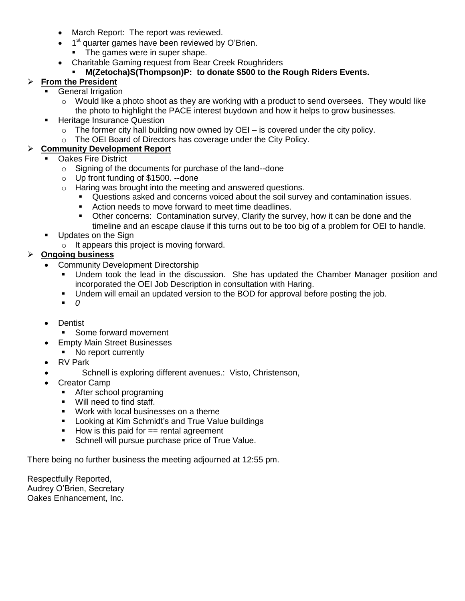- March Report: The report was reviewed.
- $\bullet$  1<sup>st</sup> quarter games have been reviewed by O'Brien.
	- The games were in super shape.
- Charitable Gaming request from Bear Creek Roughriders

# **M(Zetocha)S(Thompson)P: to donate \$500 to the Rough Riders Events.**

# **From the President**

- General Irrigation
	- $\circ$  Would like a photo shoot as they are working with a product to send oversees. They would like the photo to highlight the PACE interest buydown and how it helps to grow businesses.
- **Heritage Insurance Question** 
	- $\circ$  The former city hall building now owned by OEI is covered under the city policy.
	- o The OEI Board of Directors has coverage under the City Policy.

# **Community Development Report**

- Oakes Fire District
	- o Signing of the documents for purchase of the land--done
	- o Up front funding of \$1500. --done
	- o Haring was brought into the meeting and answered questions.
		- Questions asked and concerns voiced about the soil survey and contamination issues.
		- **EXECT** Action needs to move forward to meet time deadlines.
		- Other concerns: Contamination survey, Clarify the survey, how it can be done and the timeline and an escape clause if this turns out to be too big of a problem for OEI to handle.
- **Updates on the Sign** 
	- $\circ$  It appears this project is moving forward.

# **Ongoing business**

- Community Development Directorship
	- Undem took the lead in the discussion. She has updated the Chamber Manager position and incorporated the OEI Job Description in consultation with Haring.
	- Undem will email an updated version to the BOD for approval before posting the job.
	- *0*
- Dentist
	- Some forward movement
- **Empty Main Street Businesses** 
	- No report currently
- RV Park
	- Schnell is exploring different avenues.: Visto, Christenson,
- Creator Camp
	- **After school programing**
	- **Will need to find staff.**
	- Work with local businesses on a theme
	- **Looking at Kim Schmidt's and True Value buildings**
	- $\blacksquare$  How is this paid for  $==$  rental agreement
	- **Schnell will pursue purchase price of True Value.**

There being no further business the meeting adjourned at 12:55 pm.

Respectfully Reported, Audrey O'Brien, Secretary Oakes Enhancement, Inc.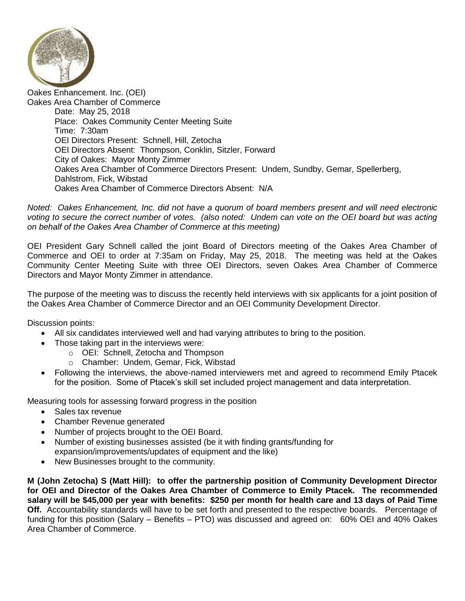

Oakes Enhancement. Inc. (OEI) Oakes Area Chamber of Commerce Date: May 25, 2018 Place: Oakes Community Center Meeting Suite Time: 7:30am OEI Directors Present: Schnell, Hill, Zetocha OEI Directors Absent: Thompson, Conklin, Sitzler, Forward City of Oakes: Mayor Monty Zimmer Oakes Area Chamber of Commerce Directors Present: Undem, Sundby, Gemar, Spellerberg, Dahlstrom, Fick, Wibstad Oakes Area Chamber of Commerce Directors Absent: N/A

*Noted: Oakes Enhancement, Inc. did not have a quorum of board members present and will need electronic voting to secure the correct number of votes. (also noted: Undem can vote on the OEI board but was acting on behalf of the Oakes Area Chamber of Commerce at this meeting)*

OEI President Gary Schnell called the joint Board of Directors meeting of the Oakes Area Chamber of Commerce and OEI to order at 7:35am on Friday, May 25, 2018. The meeting was held at the Oakes Community Center Meeting Suite with three OEI Directors, seven Oakes Area Chamber of Commerce Directors and Mayor Monty Zimmer in attendance.

The purpose of the meeting was to discuss the recently held interviews with six applicants for a joint position of the Oakes Area Chamber of Commerce Director and an OEI Community Development Director.

Discussion points:

- All six candidates interviewed well and had varying attributes to bring to the position.
	- Those taking part in the interviews were:
		- o OEI: Schnell, Zetocha and Thompson
		- o Chamber: Undem, Gemar, Fick, Wibstad
- Following the interviews, the above-named interviewers met and agreed to recommend Emily Ptacek for the position. Some of Ptacek's skill set included project management and data interpretation.

Measuring tools for assessing forward progress in the position

- Sales tax revenue
- Chamber Revenue generated
- Number of projects brought to the OEI Board.
- Number of existing businesses assisted (be it with finding grants/funding for expansion/improvements/updates of equipment and the like)
- New Businesses brought to the community.

**M (John Zetocha) S (Matt Hill): to offer the partnership position of Community Development Director for OEI and Director of the Oakes Area Chamber of Commerce to Emily Ptacek. The recommended salary will be \$45,000 per year with benefits: \$250 per month for health care and 13 days of Paid Time Off.** Accountability standards will have to be set forth and presented to the respective boards. Percentage of funding for this position (Salary – Benefits – PTO) was discussed and agreed on: 60% OEI and 40% Oakes Area Chamber of Commerce.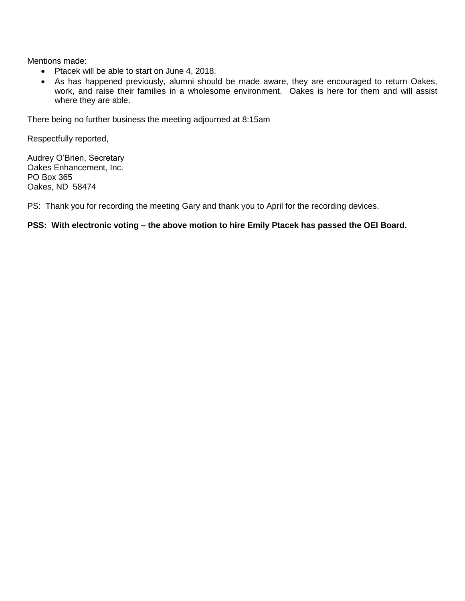Mentions made:

- Ptacek will be able to start on June 4, 2018.
- As has happened previously, alumni should be made aware, they are encouraged to return Oakes, work, and raise their families in a wholesome environment. Oakes is here for them and will assist where they are able.

There being no further business the meeting adjourned at 8:15am

Respectfully reported,

Audrey O'Brien, Secretary Oakes Enhancement, Inc. PO Box 365 Oakes, ND 58474

PS: Thank you for recording the meeting Gary and thank you to April for the recording devices.

#### **PSS: With electronic voting – the above motion to hire Emily Ptacek has passed the OEI Board.**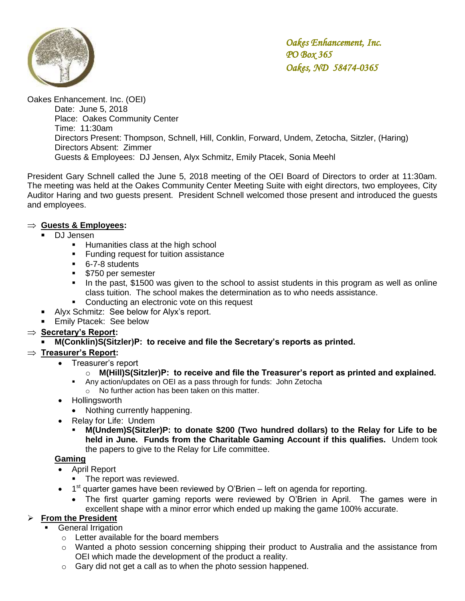

Oakes Enhancement. Inc. (OEI) Date: June 5, 2018 Place: Oakes Community Center Time: 11:30am Directors Present: Thompson, Schnell, Hill, Conklin, Forward, Undem, Zetocha, Sitzler, (Haring) Directors Absent: Zimmer Guests & Employees: DJ Jensen, Alyx Schmitz, Emily Ptacek, Sonia Meehl

President Gary Schnell called the June 5, 2018 meeting of the OEI Board of Directors to order at 11:30am. The meeting was held at the Oakes Community Center Meeting Suite with eight directors, two employees, City Auditor Haring and two guests present. President Schnell welcomed those present and introduced the guests and employees.

#### **Guests & Employees:**

- **DJ** Jensen
	- **Humanities class at the high school**
	- **Funding request for tuition assistance**
	- 6-7-8 students
	- **\$750 per semester**
	- In the past, \$1500 was given to the school to assist students in this program as well as online class tuition. The school makes the determination as to who needs assistance.
	- Conducting an electronic vote on this request
- Alyx Schmitz: See below for Alyx's report.
- Emily Ptacek: See below

# **Secretary's Report:**

**M(Conklin)S(Sitzler)P: to receive and file the Secretary's reports as printed.** 

# **Treasurer's Report:**

• Treasurer's report

# o **M(Hill)S(Sitzler)P: to receive and file the Treasurer's report as printed and explained.**

- Any action/updates on OEI as a pass through for funds: John Zetocha
	- o No further action has been taken on this matter.
- Hollingsworth
	- Nothing currently happening.
- Relay for Life: Undem
	- **M(Undem)S(Sitzler)P: to donate \$200 (Two hundred dollars) to the Relay for Life to be held in June. Funds from the Charitable Gaming Account if this qualifies.** Undem took the papers to give to the Relay for Life committee.

# **Gaming**

- April Report
	- The report was reviewed.
- $\bullet$  1<sup>st</sup> quarter games have been reviewed by O'Brien left on agenda for reporting.
	- The first quarter gaming reports were reviewed by O'Brien in April. The games were in excellent shape with a minor error which ended up making the game 100% accurate.

# **From the President**

- General Irrigation
	- o Letter available for the board members
	- $\circ$  Wanted a photo session concerning shipping their product to Australia and the assistance from OEI which made the development of the product a reality.
	- $\circ$  Gary did not get a call as to when the photo session happened.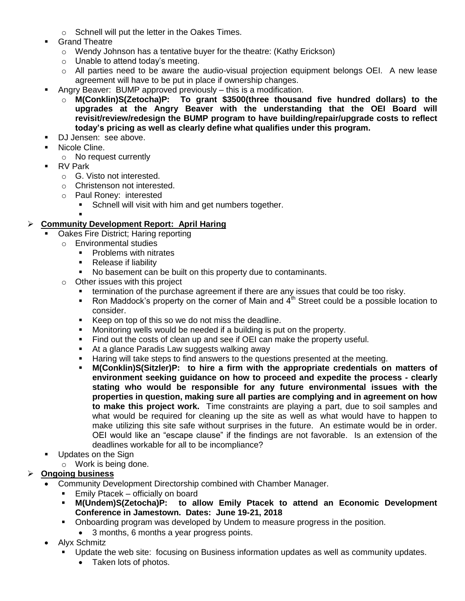- o Schnell will put the letter in the Oakes Times.
- Grand Theatre
	- o Wendy Johnson has a tentative buyer for the theatre: (Kathy Erickson)
	- o Unable to attend today's meeting.
	- o All parties need to be aware the audio-visual projection equipment belongs OEI. A new lease agreement will have to be put in place if ownership changes.
- Angry Beaver: BUMP approved previously this is a modification.
	- o **M(Conklin)S(Zetocha)P: To grant \$3500(three thousand five hundred dollars) to the upgrades at the Angry Beaver with the understanding that the OEI Board will revisit/review/redesign the BUMP program to have building/repair/upgrade costs to reflect today's pricing as well as clearly define what qualifies under this program.**
- DJ Jensen: see above.
- **Nicole Cline.** 
	- o No request currently
- **RV Park** 
	- o G. Visto not interested.
	- o Christenson not interested.
	- o Paul Roney: interested
		- **Schnell will visit with him and get numbers together.**

#### . **Community Development Report: April Haring**

- Oakes Fire District; Haring reporting
	- o Environmental studies
		- Problems with nitrates
		- Release if liability
		- No basement can be built on this property due to contaminants.
	- o Other issues with this project
		- termination of the purchase agreement if there are any issues that could be too risky.
		- Ron Maddock's property on the corner of Main and  $4<sup>th</sup>$  Street could be a possible location to consider.
		- Keep on top of this so we do not miss the deadline.
		- **Monitoring wells would be needed if a building is put on the property.**
		- Find out the costs of clean up and see if OEI can make the property useful.
		- At a glance Paradis Law suggests walking away
		- Haring will take steps to find answers to the questions presented at the meeting.
		- **M(Conklin)S(Sitzler)P: to hire a firm with the appropriate credentials on matters of environment seeking guidance on how to proceed and expedite the process - clearly stating who would be responsible for any future environmental issues with the properties in question, making sure all parties are complying and in agreement on how to make this project work.** Time constraints are playing a part, due to soil samples and what would be required for cleaning up the site as well as what would have to happen to make utilizing this site safe without surprises in the future. An estimate would be in order. OEI would like an "escape clause" if the findings are not favorable. Is an extension of the deadlines workable for all to be incompliance?
- **Updates on the Sign** 
	- o Work is being done.

# **Ongoing business**

- Community Development Directorship combined with Chamber Manager.
	- Emily Ptacek officially on board
	- **M(Undem)S(Zetocha)P: to allow Emily Ptacek to attend an Economic Development Conference in Jamestown. Dates: June 19-21, 2018**
	- Onboarding program was developed by Undem to measure progress in the position.
		- 3 months, 6 months a year progress points.
- Alyx Schmitz
	- Update the web site: focusing on Business information updates as well as community updates.
		- Taken lots of photos.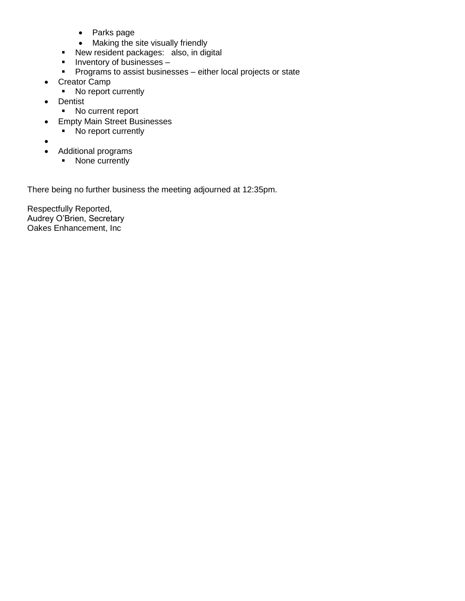- Parks page
- Making the site visually friendly
- New resident packages: also, in digital
- $\blacksquare$  Inventory of businesses –
- **Programs to assist businesses either local projects or state**
- Creator Camp
	- No report currently
- Dentist
	- No current report
- Empty Main Street Businesses
	- No report currently
- $\bullet$
- Additional programs
	- None currently

There being no further business the meeting adjourned at 12:35pm.

Respectfully Reported, Audrey O'Brien, Secretary Oakes Enhancement, Inc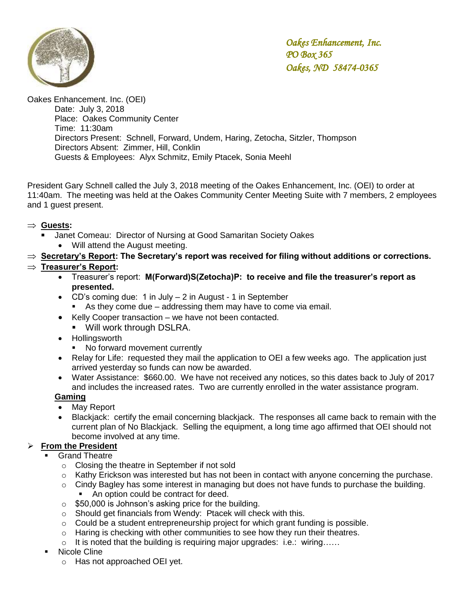

Oakes Enhancement. Inc. (OEI) Date: July 3, 2018 Place: Oakes Community Center Time: 11:30am Directors Present: Schnell, Forward, Undem, Haring, Zetocha, Sitzler, Thompson Directors Absent: Zimmer, Hill, Conklin Guests & Employees: Alyx Schmitz, Emily Ptacek, Sonia Meehl

President Gary Schnell called the July 3, 2018 meeting of the Oakes Enhancement, Inc. (OEI) to order at 11:40am. The meeting was held at the Oakes Community Center Meeting Suite with 7 members, 2 employees and 1 guest present.

#### **Guests:**

- Janet Comeau: Director of Nursing at Good Samaritan Society Oakes
	- Will attend the August meeting.
- **Secretary's Report: The Secretary's report was received for filing without additions or corrections.**

# **Treasurer's Report:**

- Treasurer's report: **M(Forward)S(Zetocha)P: to receive and file the treasurer's report as presented.**
- CD's coming due: 1 in July 2 in August 1 in September
	- As they come due addressing them may have to come via email.
- Kelly Cooper transaction we have not been contacted.
	- **Will work through DSLRA.**
- Hollingsworth
	- No forward movement currently
- Relay for Life: requested they mail the application to OEI a few weeks ago. The application just arrived yesterday so funds can now be awarded.
- Water Assistance: \$660.00. We have not received any notices, so this dates back to July of 2017 and includes the increased rates. Two are currently enrolled in the water assistance program.

#### **Gaming**

- May Report
- Blackjack: certify the email concerning blackjack. The responses all came back to remain with the current plan of No Blackjack. Selling the equipment, a long time ago affirmed that OEI should not become involved at any time.

# **From the President**

- Grand Theatre
	- o Closing the theatre in September if not sold
	- $\circ$  Kathy Erickson was interested but has not been in contact with anyone concerning the purchase.
	- $\circ$  Cindy Bagley has some interest in managing but does not have funds to purchase the building.
		- An option could be contract for deed.
	- $\circ$  \$50,000 is Johnson's asking price for the building.
	- o Should get financials from Wendy: Ptacek will check with this.
	- $\circ$  Could be a student entrepreneurship project for which grant funding is possible.
	- $\circ$  Haring is checking with other communities to see how they run their theatres.
	- o It is noted that the building is requiring major upgrades: i.e.: wiring……
- Nicole Cline
	- o Has not approached OEI yet.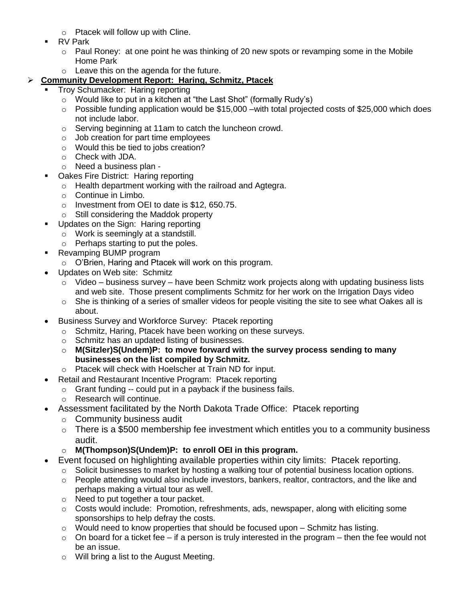- o Ptacek will follow up with Cline.
- RV Park
	- o Paul Roney: at one point he was thinking of 20 new spots or revamping some in the Mobile Home Park
	- o Leave this on the agenda for the future.

# **Community Development Report: Haring, Schmitz, Ptacek**

- Troy Schumacker: Haring reporting
	- o Would like to put in a kitchen at "the Last Shot" (formally Rudy's)
	- o Possible funding application would be \$15,000 –with total projected costs of \$25,000 which does not include labor.
	- o Serving beginning at 11am to catch the luncheon crowd.
	- o Job creation for part time employees
	- o Would this be tied to jobs creation?
	- o Check with JDA.
	- o Need a business plan -
- Oakes Fire District: Haring reporting
	- o Health department working with the railroad and Agtegra.
	- o Continue in Limbo.
	- o Investment from OEI to date is \$12, 650.75.
	- o Still considering the Maddok property
- **Updates on the Sign: Haring reporting** 
	- o Work is seemingly at a standstill.
	- o Perhaps starting to put the poles.
- **Revamping BUMP program** 
	- o O'Brien, Haring and Ptacek will work on this program.
- Updates on Web site: Schmitz
	- $\circ$  Video business survey have been Schmitz work projects along with updating business lists and web site. Those present compliments Schmitz for her work on the Irrigation Days video
	- o She is thinking of a series of smaller videos for people visiting the site to see what Oakes all is about.
- Business Survey and Workforce Survey: Ptacek reporting
	- o Schmitz, Haring, Ptacek have been working on these surveys.
	- o Schmitz has an updated listing of businesses.
	- o **M(Sitzler)S(Undem)P: to move forward with the survey process sending to many businesses on the list compiled by Schmitz.**
	- o Ptacek will check with Hoelscher at Train ND for input.
- Retail and Restaurant Incentive Program: Ptacek reporting
	- o Grant funding -- could put in a payback if the business fails.
	- o Research will continue.
- Assessment facilitated by the North Dakota Trade Office: Ptacek reporting
	- o Community business audit
		- $\circ$  There is a \$500 membership fee investment which entitles you to a community business audit.
	- o **M(Thompson)S(Undem)P: to enroll OEI in this program.**
- Event focused on highlighting available properties within city limits: Ptacek reporting.
	- Solicit businesses to market by hosting a walking tour of potential business location options.
	- o People attending would also include investors, bankers, realtor, contractors, and the like and perhaps making a virtual tour as well.
	- o Need to put together a tour packet.
	- $\circ$  Costs would include: Promotion, refreshments, ads, newspaper, along with eliciting some sponsorships to help defray the costs.
	- $\circ$  Would need to know properties that should be focused upon Schmitz has listing.
	- $\circ$  On board for a ticket fee if a person is truly interested in the program then the fee would not be an issue.
	- o Will bring a list to the August Meeting.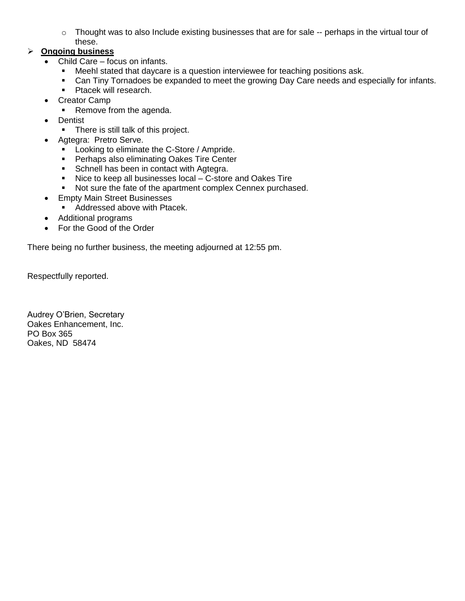o Thought was to also Include existing businesses that are for sale -- perhaps in the virtual tour of these.

# **Ongoing business**

- Child Care focus on infants.
	- **Meehl stated that daycare is a question interviewee for teaching positions ask.**
	- Can Tiny Tornadoes be expanded to meet the growing Day Care needs and especially for infants.
	- **Ptacek will research.**
- Creator Camp
	- Remove from the agenda.
- Dentist
	- There is still talk of this project.
- Agtegra: Pretro Serve.
	- **Looking to eliminate the C-Store / Ampride.**
	- **Perhaps also eliminating Oakes Tire Center**
	- Schnell has been in contact with Agtegra.
	- Nice to keep all businesses local C-store and Oakes Tire
	- Not sure the fate of the apartment complex Cennex purchased.
- **•** Empty Main Street Businesses
	- **Addressed above with Ptacek.**
- Additional programs
- For the Good of the Order

There being no further business, the meeting adjourned at 12:55 pm.

Respectfully reported.

Audrey O'Brien, Secretary Oakes Enhancement, Inc. PO Box 365 Oakes, ND 58474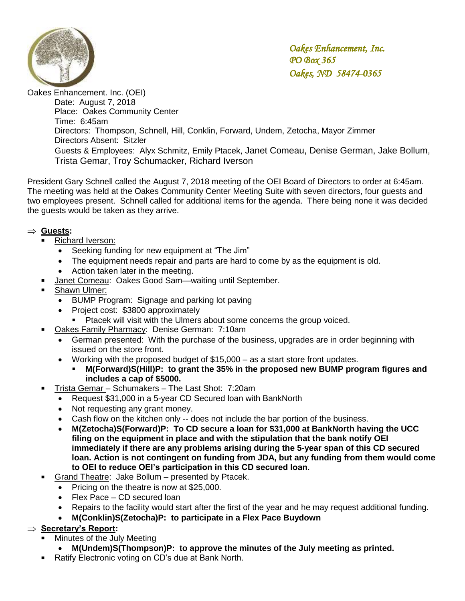

Oakes Enhancement. Inc. (OEI) Date: August 7, 2018 Place: Oakes Community Center Time: 6:45am Directors: Thompson, Schnell, Hill, Conklin, Forward, Undem, Zetocha, Mayor Zimmer Directors Absent: Sitzler Guests & Employees: Alyx Schmitz, Emily Ptacek, Janet Comeau, Denise German, Jake Bollum, Trista Gemar, Troy Schumacker, Richard Iverson

President Gary Schnell called the August 7, 2018 meeting of the OEI Board of Directors to order at 6:45am. The meeting was held at the Oakes Community Center Meeting Suite with seven directors, four guests and two employees present. Schnell called for additional items for the agenda. There being none it was decided the guests would be taken as they arrive.

# **Guests:**

- Richard Iverson:
	- Seeking funding for new equipment at "The Jim"
	- The equipment needs repair and parts are hard to come by as the equipment is old.
	- Action taken later in the meeting.
- Janet Comeau: Oakes Good Sam—waiting until September.
- Shawn Ulmer:
	- BUMP Program: Signage and parking lot paving
	- Project cost: \$3800 approximately
		- **Ptacek will visit with the Ulmers about some concerns the group voiced.**
- Oakes Family Pharmacy: Denise German: 7:10am
	- German presented: With the purchase of the business, upgrades are in order beginning with issued on the store front.
	- Working with the proposed budget of \$15,000 as a start store front updates.
		- **M(Forward)S(Hill)P: to grant the 35% in the proposed new BUMP program figures and includes a cap of \$5000.**
- Trista Gemar Schumakers The Last Shot: 7:20am
	- Request \$31,000 in a 5-year CD Secured loan with BankNorth
	- Not requesting any grant money.
	- Cash flow on the kitchen only -- does not include the bar portion of the business.
	- **M(Zetocha)S(Forward)P: To CD secure a loan for \$31,000 at BankNorth having the UCC filing on the equipment in place and with the stipulation that the bank notify OEI immediately if there are any problems arising during the 5-year span of this CD secured loan. Action is not contingent on funding from JDA, but any funding from them would come to OEI to reduce OEI's participation in this CD secured loan.**
- Grand Theatre: Jake Bollum presented by Ptacek.
	- Pricing on the theatre is now at \$25,000.
	- Flex Pace CD secured loan
	- Repairs to the facility would start after the first of the year and he may request additional funding.
	- **M(Conklin)S(Zetocha)P: to participate in a Flex Pace Buydown**

# ⇒ **Secretary's Report:**

- Minutes of the July Meeting
	- **M(Undem)S(Thompson)P: to approve the minutes of the July meeting as printed.**
- Ratify Electronic voting on CD's due at Bank North.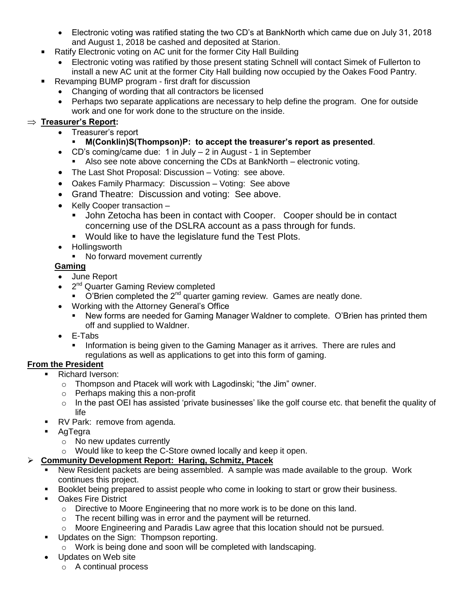- Electronic voting was ratified stating the two CD's at BankNorth which came due on July 31, 2018 and August 1, 2018 be cashed and deposited at Starion.
- Ratify Electronic voting on AC unit for the former City Hall Building
	- Electronic voting was ratified by those present stating Schnell will contact Simek of Fullerton to install a new AC unit at the former City Hall building now occupied by the Oakes Food Pantry.
- Revamping BUMP program first draft for discussion
	- Changing of wording that all contractors be licensed
	- Perhaps two separate applications are necessary to help define the program. One for outside work and one for work done to the structure on the inside.

# **Treasurer's Report:**

- Treasurer's report
	- **M(Conklin)S(Thompson)P: to accept the treasurer's report as presented**.
- CD's coming/came due: 1 in July 2 in August 1 in September
	- Also see note above concerning the CDs at BankNorth electronic voting.
- The Last Shot Proposal: Discussion Voting: see above.
- Oakes Family Pharmacy: Discussion Voting: See above
- Grand Theatre: Discussion and voting: See above.
- Kelly Cooper transaction -
	- John Zetocha has been in contact with Cooper. Cooper should be in contact concerning use of the DSLRA account as a pass through for funds.
	- Would like to have the legislature fund the Test Plots.
- Hollingsworth
	- No forward movement currently

# **Gaming**

- June Report
- 2<sup>nd</sup> Quarter Gaming Review completed
	- $\bullet$  O'Brien completed the 2<sup>nd</sup> quarter gaming review. Games are neatly done.
- Working with the Attorney General's Office
	- New forms are needed for Gaming Manager Waldner to complete. O'Brien has printed them off and supplied to Waldner.
- E-Tabs
	- Information is being given to the Gaming Manager as it arrives. There are rules and regulations as well as applications to get into this form of gaming.

# **From the President**

- Richard Iverson:
	- o Thompson and Ptacek will work with Lagodinski; "the Jim" owner.
	- o Perhaps making this a non-profit
	- $\circ$  In the past OEI has assisted 'private businesses' like the golf course etc. that benefit the quality of life
- RV Park: remove from agenda.
- AgTegra
	- o No new updates currently
	- o Would like to keep the C-Store owned locally and keep it open.

# **Community Development Report: Haring, Schmitz, Ptacek**

- New Resident packets are being assembled. A sample was made available to the group. Work continues this project.
- Booklet being prepared to assist people who come in looking to start or grow their business.
- **Dakes Fire District** 
	- o Directive to Moore Engineering that no more work is to be done on this land.
	- o The recent billing was in error and the payment will be returned.
	- o Moore Engineering and Paradis Law agree that this location should not be pursued.
- **Updates on the Sign: Thompson reporting.** 
	- o Work is being done and soon will be completed with landscaping.
- Updates on Web site
	- o A continual process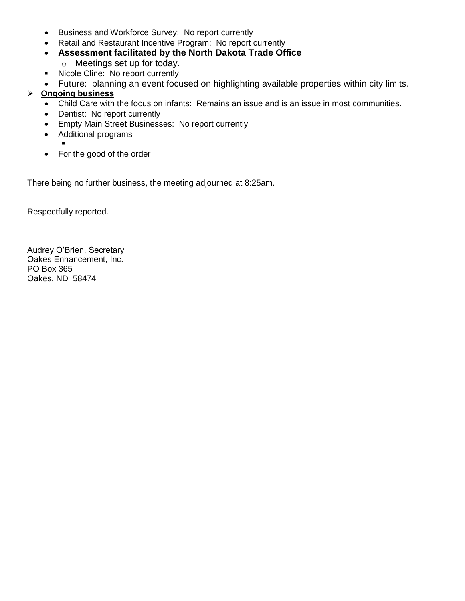- Business and Workforce Survey: No report currently
- Retail and Restaurant Incentive Program: No report currently
- **Assessment facilitated by the North Dakota Trade Office**
	- o Meetings set up for today.
- **Nicole Cline: No report currently**
- Future: planning an event focused on highlighting available properties within city limits.

# **Ongoing business**

- Child Care with the focus on infants: Remains an issue and is an issue in most communities.
- Dentist: No report currently
- **Empty Main Street Businesses: No report currently**
- Additional programs
	- .
- For the good of the order

There being no further business, the meeting adjourned at 8:25am.

Respectfully reported.

Audrey O'Brien, Secretary Oakes Enhancement, Inc. PO Box 365 Oakes, ND 58474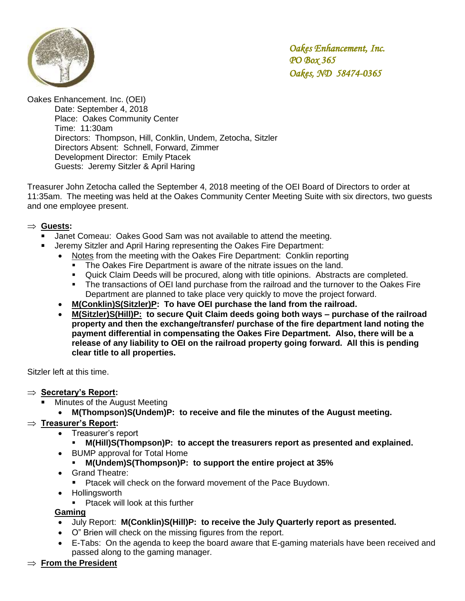

Oakes Enhancement. Inc. (OEI)

Date: September 4, 2018 Place: Oakes Community Center Time: 11:30am Directors: Thompson, Hill, Conklin, Undem, Zetocha, Sitzler Directors Absent: Schnell, Forward, Zimmer Development Director: Emily Ptacek Guests: Jeremy Sitzler & April Haring

Treasurer John Zetocha called the September 4, 2018 meeting of the OEI Board of Directors to order at 11:35am. The meeting was held at the Oakes Community Center Meeting Suite with six directors, two guests and one employee present.

#### **Guests:**

- Janet Comeau: Oakes Good Sam was not available to attend the meeting.
	- Jeremy Sitzler and April Haring representing the Oakes Fire Department:
		- Notes from the meeting with the Oakes Fire Department: Conklin reporting
			- The Oakes Fire Department is aware of the nitrate issues on the land.
			- Quick Claim Deeds will be procured, along with title opinions. Abstracts are completed.
			- The transactions of OEI land purchase from the railroad and the turnover to the Oakes Fire Department are planned to take place very quickly to move the project forward.
		- **M(Conklin)S(Sitzler)P: To have OEI purchase the land from the railroad.**
		- **M(Sitzler)S(Hill)P: to secure Quit Claim deeds going both ways – purchase of the railroad property and then the exchange/transfer/ purchase of the fire department land noting the payment differential in compensating the Oakes Fire Department. Also, there will be a release of any liability to OEI on the railroad property going forward. All this is pending clear title to all properties.**

Sitzler left at this time.

- $\Rightarrow$  **Secretary's Report:** 
	- Minutes of the August Meeting
		- **M(Thompson)S(Undem)P: to receive and file the minutes of the August meeting.**

# **Treasurer's Report:**

- Treasurer's report
	- **M(Hill)S(Thompson)P: to accept the treasurers report as presented and explained.**
- BUMP approval for Total Home
	- **M(Undem)S(Thompson)P: to support the entire project at 35%**
- Grand Theatre:
	- **Pracek will check on the forward movement of the Pace Buydown.**
- Hollingsworth
	- **Ptacek will look at this further**

**Gaming**

- July Report: **M(Conklin)S(Hill)P: to receive the July Quarterly report as presented.**
- O" Brien will check on the missing figures from the report.
- E-Tabs: On the agenda to keep the board aware that E-gaming materials have been received and passed along to the gaming manager.
- **From the President**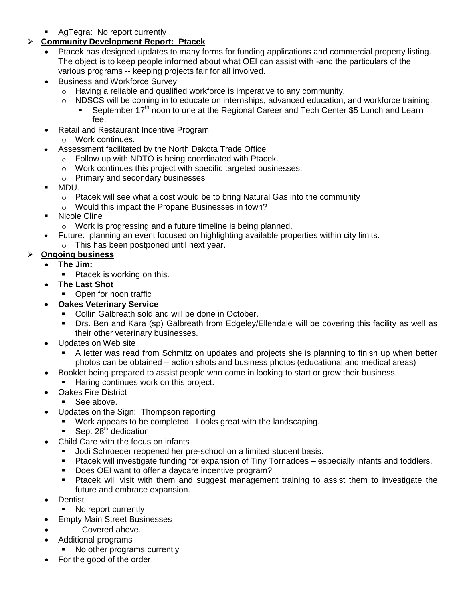**AgTegra: No report currently** 

# **Community Development Report: Ptacek**

- Ptacek has designed updates to many forms for funding applications and commercial property listing. The object is to keep people informed about what OEI can assist with -and the particulars of the various programs -- keeping projects fair for all involved.
- Business and Workforce Survey
	- o Having a reliable and qualified workforce is imperative to any community.
	- o NDSCS will be coming in to educate on internships, advanced education, and workforce training.
		- September 17<sup>th</sup> noon to one at the Regional Career and Tech Center \$5 Lunch and Learn fee.
- Retail and Restaurant Incentive Program
	- o Work continues.
- Assessment facilitated by the North Dakota Trade Office
	- o Follow up with NDTO is being coordinated with Ptacek.
	- o Work continues this project with specific targeted businesses.
	- o Primary and secondary businesses
- MDU.
	- $\circ$  Ptacek will see what a cost would be to bring Natural Gas into the community
	- o Would this impact the Propane Businesses in town?
- **Nicole Cline** 
	- o Work is progressing and a future timeline is being planned.
- Future: planning an event focused on highlighting available properties within city limits.
	- o This has been postponed until next year.

# **Ongoing business**

- **The Jim:**
	- Ptacek is working on this.
- **The Last Shot**
	- Open for noon traffic
- **Oakes Veterinary Service**
	- Collin Galbreath sold and will be done in October.
	- Drs. Ben and Kara (sp) Galbreath from Edgeley/Ellendale will be covering this facility as well as their other veterinary businesses.
- Updates on Web site
	- A letter was read from Schmitz on updates and projects she is planning to finish up when better photos can be obtained – action shots and business photos (educational and medical areas)
	- Booklet being prepared to assist people who come in looking to start or grow their business.
		- Haring continues work on this project.
- Oakes Fire District
	- See above.
- Updates on the Sign: Thompson reporting
	- Work appears to be completed. Looks great with the landscaping.
		- Sept  $28<sup>th</sup>$  dedication
- Child Care with the focus on infants
	- Jodi Schroeder reopened her pre-school on a limited student basis.
	- Ptacek will investigate funding for expansion of Tiny Tornadoes especially infants and toddlers.
	- Does OEI want to offer a daycare incentive program?
	- **Ptacek will visit with them and suggest management training to assist them to investigate the** future and embrace expansion.
- Dentist
	- No report currently
- Empty Main Street Businesses
- Covered above.
- Additional programs
	- No other programs currently
- For the good of the order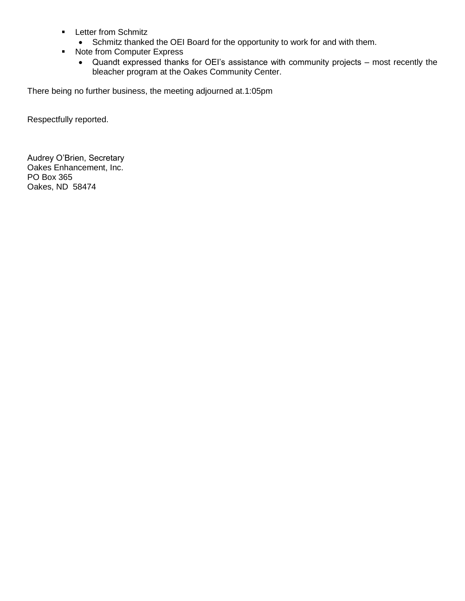- **Letter from Schmitz** 
	- Schmitz thanked the OEI Board for the opportunity to work for and with them.
- Note from Computer Express
	- Quandt expressed thanks for OEI's assistance with community projects most recently the bleacher program at the Oakes Community Center.

There being no further business, the meeting adjourned at.1:05pm

Respectfully reported.

Audrey O'Brien, Secretary Oakes Enhancement, Inc. PO Box 365 Oakes, ND 58474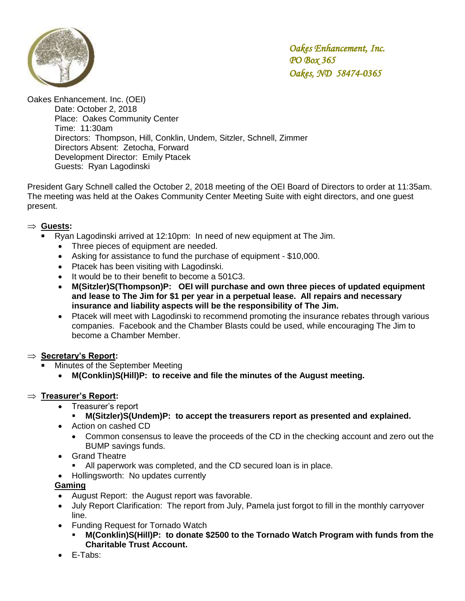

Oakes Enhancement. Inc. (OEI)

Date: October 2, 2018 Place: Oakes Community Center Time: 11:30am Directors: Thompson, Hill, Conklin, Undem, Sitzler, Schnell, Zimmer Directors Absent: Zetocha, Forward Development Director: Emily Ptacek Guests: Ryan Lagodinski

President Gary Schnell called the October 2, 2018 meeting of the OEI Board of Directors to order at 11:35am. The meeting was held at the Oakes Community Center Meeting Suite with eight directors, and one guest present.

#### **Guests:**

- Ryan Lagodinski arrived at 12:10pm: In need of new equipment at The Jim.
	- Three pieces of equipment are needed.
	- Asking for assistance to fund the purchase of equipment \$10,000.
	- Ptacek has been visiting with Lagodinski.
	- It would be to their benefit to become a 501C3.
	- **M(Sitzler)S(Thompson)P: OEI will purchase and own three pieces of updated equipment and lease to The Jim for \$1 per year in a perpetual lease. All repairs and necessary insurance and liability aspects will be the responsibility of The Jim.**
	- Ptacek will meet with Lagodinski to recommend promoting the insurance rebates through various companies. Facebook and the Chamber Blasts could be used, while encouraging The Jim to become a Chamber Member.

#### ⇒ **Secretary's Report:**

- Minutes of the September Meeting
	- **M(Conklin)S(Hill)P: to receive and file the minutes of the August meeting.**

#### **Treasurer's Report:**

- Treasurer's report
	- **M(Sitzler)S(Undem)P: to accept the treasurers report as presented and explained.**
- Action on cashed CD
	- Common consensus to leave the proceeds of the CD in the checking account and zero out the BUMP savings funds.
- Grand Theatre
	- All paperwork was completed, and the CD secured loan is in place.
- Hollingsworth: No updates currently

#### **Gaming**

- August Report: the August report was favorable.
- July Report Clarification: The report from July, Pamela just forgot to fill in the monthly carryover line.
- Funding Request for Tornado Watch
	- **M(Conklin)S(Hill)P: to donate \$2500 to the Tornado Watch Program with funds from the Charitable Trust Account.**
- E-Tabs: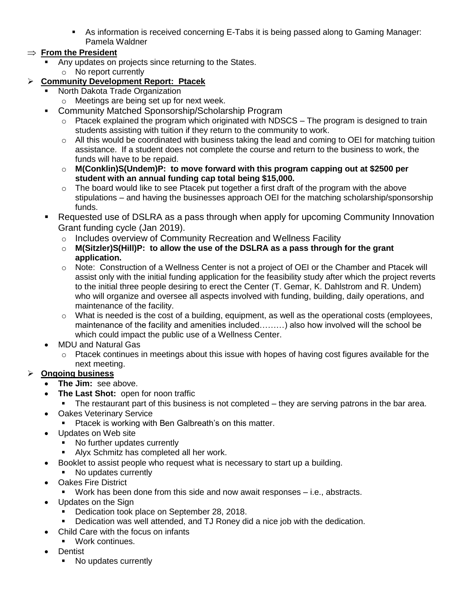As information is received concerning E-Tabs it is being passed along to Gaming Manager: Pamela Waldner

# $\Rightarrow$  From the President

 Any updates on projects since returning to the States. o No report currently

# **Community Development Report: Ptacek**

- North Dakota Trade Organization
	- o Meetings are being set up for next week.
- **-** Community Matched Sponsorship/Scholarship Program
	- o Ptacek explained the program which originated with NDSCS The program is designed to train students assisting with tuition if they return to the community to work.
	- o All this would be coordinated with business taking the lead and coming to OEI for matching tuition assistance. If a student does not complete the course and return to the business to work, the funds will have to be repaid.
	- o **M(Conklin)S(Undem)P: to move forward with this program capping out at \$2500 per student with an annual funding cap total being \$15,000.**
	- $\circ$  The board would like to see Ptacek put together a first draft of the program with the above stipulations – and having the businesses approach OEI for the matching scholarship/sponsorship funds.
- Requested use of DSLRA as a pass through when apply for upcoming Community Innovation Grant funding cycle (Jan 2019).
	- o Includes overview of Community Recreation and Wellness Facility
	- o **M(Sitzler)S(Hill)P: to allow the use of the DSLRA as a pass through for the grant application.**
	- o Note: Construction of a Wellness Center is not a project of OEI or the Chamber and Ptacek will assist only with the initial funding application for the feasibility study after which the project reverts to the initial three people desiring to erect the Center (T. Gemar, K. Dahlstrom and R. Undem) who will organize and oversee all aspects involved with funding, building, daily operations, and maintenance of the facility.
	- o What is needed is the cost of a building, equipment, as well as the operational costs (employees, maintenance of the facility and amenities included………) also how involved will the school be which could impact the public use of a Wellness Center.
- MDU and Natural Gas
	- o Ptacek continues in meetings about this issue with hopes of having cost figures available for the next meeting.

# **Ongoing business**

- **The Jim:** see above.
- **The Last Shot:** open for noon traffic
	- The restaurant part of this business is not completed they are serving patrons in the bar area.
- Oakes Veterinary Service
	- **Ptacek is working with Ben Galbreath's on this matter.**
- Updates on Web site
	- No further updates currently
	- Alyx Schmitz has completed all her work.
- Booklet to assist people who request what is necessary to start up a building.
- No updates currently
- Oakes Fire District
	- Work has been done from this side and now await responses i.e., abstracts.
- Updates on the Sign
	- Dedication took place on September 28, 2018.
	- Dedication was well attended, and TJ Roney did a nice job with the dedication.
- Child Care with the focus on infants
	- Work continues.
- Dentist
	- No updates currently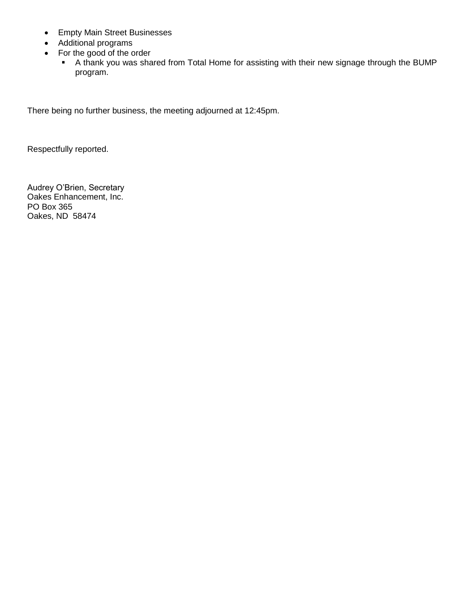- Empty Main Street Businesses
- Additional programs
- For the good of the order
	- A thank you was shared from Total Home for assisting with their new signage through the BUMP program.

There being no further business, the meeting adjourned at 12:45pm.

Respectfully reported.

Audrey O'Brien, Secretary Oakes Enhancement, Inc. PO Box 365 Oakes, ND 58474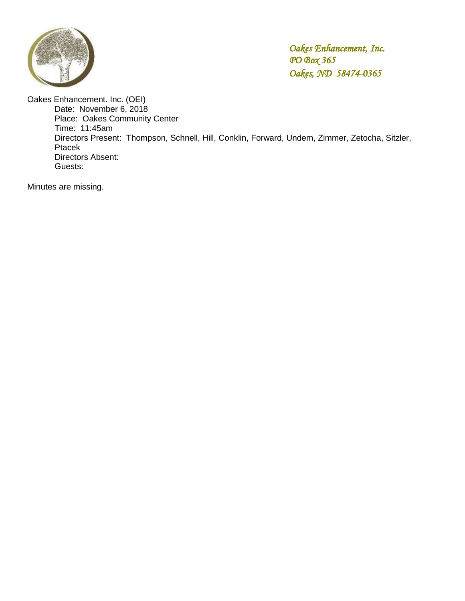

Oakes Enhancement. Inc. (OEI) Date: November 6, 2018 Place: Oakes Community Center Time: 11:45am Directors Present: Thompson, Schnell, Hill, Conklin, Forward, Undem, Zimmer, Zetocha, Sitzler, Ptacek Directors Absent: Guests:

Minutes are missing.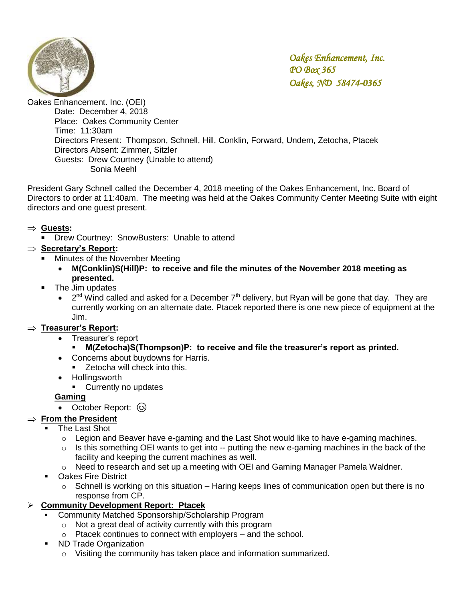

Oakes Enhancement. Inc. (OEI) Date: December 4, 2018 Place: Oakes Community Center Time: 11:30am Directors Present: Thompson, Schnell, Hill, Conklin, Forward, Undem, Zetocha, Ptacek Directors Absent: Zimmer, Sitzler Guests: Drew Courtney (Unable to attend) Sonia Meehl

President Gary Schnell called the December 4, 2018 meeting of the Oakes Enhancement, Inc. Board of Directors to order at 11:40am. The meeting was held at the Oakes Community Center Meeting Suite with eight directors and one guest present.

# **Guests:**

**Drew Courtney: SnowBusters: Unable to attend** 

# **Secretary's Report:**

- Minutes of the November Meeting
	- **M(Conklin)S(Hill)P: to receive and file the minutes of the November 2018 meeting as presented.**
- **The Jim updates** 
	- $2<sup>nd</sup>$  Wind called and asked for a December 7<sup>th</sup> delivery, but Ryan will be gone that day. They are currently working on an alternate date. Ptacek reported there is one new piece of equipment at the Jim.

# **Treasurer's Report:**

- Treasurer's report
	- **M(Zetocha)S(Thompson)P: to receive and file the treasurer's report as printed.**
- Concerns about buydowns for Harris.
	- **EXEC** Zetocha will check into this.
- Hollingsworth
- **Currently no updates**

#### **Gaming**

October Report: 3

# $\Rightarrow$  **From the President**

- The Last Shot
	- o Legion and Beaver have e-gaming and the Last Shot would like to have e-gaming machines.
	- $\circ$  Is this something OEI wants to get into -- putting the new e-gaming machines in the back of the facility and keeping the current machines as well.
	- o Need to research and set up a meeting with OEI and Gaming Manager Pamela Waldner.
- **Dakes Fire District** 
	- $\circ$  Schnell is working on this situation Haring keeps lines of communication open but there is no response from CP.

# **Community Development Report: Ptacek**

- Community Matched Sponsorship/Scholarship Program
	- o Not a great deal of activity currently with this program
	- o Ptacek continues to connect with employers and the school.
- ND Trade Organization
	- o Visiting the community has taken place and information summarized.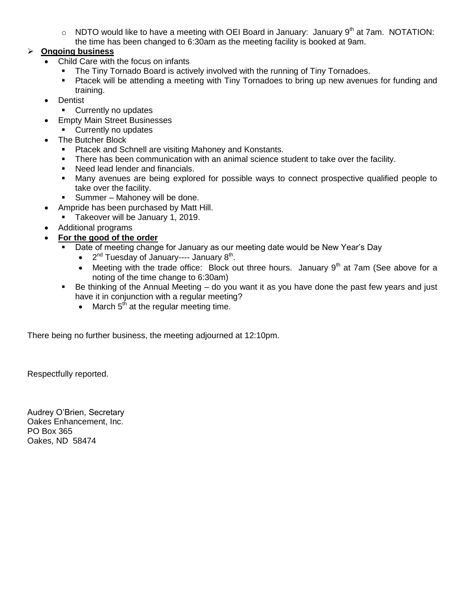$\circ$  NDTO would like to have a meeting with OEI Board in January: January 9<sup>th</sup> at 7am. NOTATION: the time has been changed to 6:30am as the meeting facility is booked at 9am.

# **Ongoing business**

- Child Care with the focus on infants
	- The Tiny Tornado Board is actively involved with the running of Tiny Tornadoes.
	- Ptacek will be attending a meeting with Tiny Tornadoes to bring up new avenues for funding and training.
- **Dentist** 
	- **•** Currently no updates
- **Empty Main Street Businesses** 
	- Currently no updates
- The Butcher Block
	- **Ptacek and Schnell are visiting Mahoney and Konstants.**
	- **There has been communication with an animal science student to take over the facility.**
	- Need lead lender and financials.
	- Many avenues are being explored for possible ways to connect prospective qualified people to take over the facility.
	- **Summer Mahoney will be done.**
- Ampride has been purchased by Matt Hill.
	- Takeover will be January 1, 2019.
- Additional programs
- **For the good of the order**
	- Date of meeting change for January as our meeting date would be New Year's Day
		- $2<sup>nd</sup>$  Tuesday of January---- January  $8<sup>th</sup>$ .
		- Meeting with the trade office: Block out three hours. January  $9<sup>th</sup>$  at 7am (See above for a noting of the time change to 6:30am)
	- Be thinking of the Annual Meeting do you want it as you have done the past few years and just have it in conjunction with a regular meeting?
		- $\bullet$  March  $5<sup>th</sup>$  at the regular meeting time.

There being no further business, the meeting adjourned at 12:10pm.

Respectfully reported.

Audrey O'Brien, Secretary Oakes Enhancement, Inc. PO Box 365 Oakes, ND 58474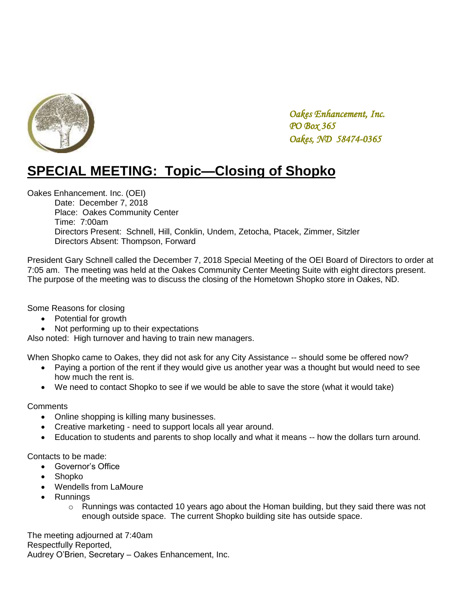

# **SPECIAL MEETING: Topic—Closing of Shopko**

Oakes Enhancement. Inc. (OEI)

Date: December 7, 2018 Place: Oakes Community Center Time: 7:00am Directors Present: Schnell, Hill, Conklin, Undem, Zetocha, Ptacek, Zimmer, Sitzler Directors Absent: Thompson, Forward

President Gary Schnell called the December 7, 2018 Special Meeting of the OEI Board of Directors to order at 7:05 am. The meeting was held at the Oakes Community Center Meeting Suite with eight directors present. The purpose of the meeting was to discuss the closing of the Hometown Shopko store in Oakes, ND.

Some Reasons for closing

- Potential for growth
- Not performing up to their expectations

Also noted: High turnover and having to train new managers.

When Shopko came to Oakes, they did not ask for any City Assistance -- should some be offered now?

- Paying a portion of the rent if they would give us another year was a thought but would need to see how much the rent is.
- We need to contact Shopko to see if we would be able to save the store (what it would take)

**Comments** 

- Online shopping is killing many businesses.
- Creative marketing need to support locals all year around.
- Education to students and parents to shop locally and what it means -- how the dollars turn around.

Contacts to be made:

- Governor's Office
- Shopko
- Wendells from LaMoure
- Runnings
	- $\circ$  Runnings was contacted 10 years ago about the Homan building, but they said there was not enough outside space. The current Shopko building site has outside space.

The meeting adjourned at 7:40am Respectfully Reported, Audrey O'Brien, Secretary – Oakes Enhancement, Inc.